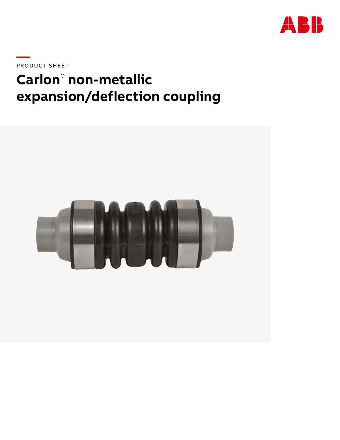

PRODUCT SHEET

# **Carlon® non-metallic** expansion/deflection coupling